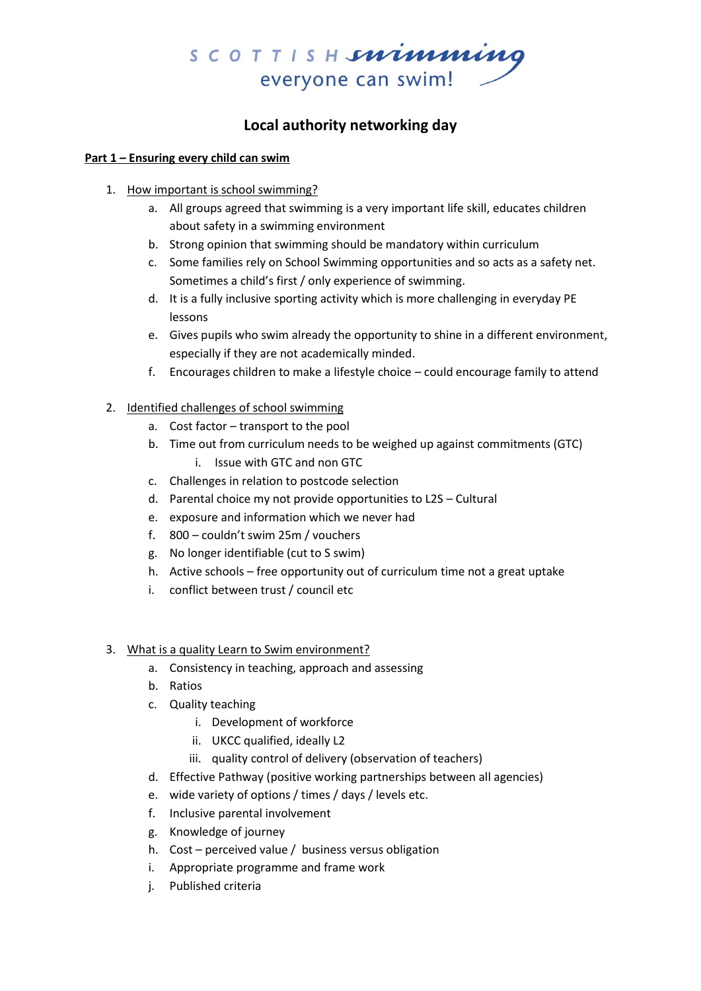

# **Local authority networking day**

#### **Part 1 – Ensuring every child can swim**

- 1. How important is school swimming?
	- a. All groups agreed that swimming is a very important life skill, educates children about safety in a swimming environment
	- b. Strong opinion that swimming should be mandatory within curriculum
	- c. Some families rely on School Swimming opportunities and so acts as a safety net. Sometimes a child's first / only experience of swimming.
	- d. It is a fully inclusive sporting activity which is more challenging in everyday PE lessons
	- e. Gives pupils who swim already the opportunity to shine in a different environment, especially if they are not academically minded.
	- f. Encourages children to make a lifestyle choice could encourage family to attend
- 2. Identified challenges of school swimming
	- a. Cost factor transport to the pool
	- b. Time out from curriculum needs to be weighed up against commitments (GTC)
		- i. Issue with GTC and non GTC
	- c. Challenges in relation to postcode selection
	- d. Parental choice my not provide opportunities to L2S Cultural
	- e. exposure and information which we never had
	- f. 800 couldn't swim 25m / vouchers
	- g. No longer identifiable (cut to S swim)
	- h. Active schools free opportunity out of curriculum time not a great uptake
	- i. conflict between trust / council etc

#### 3. What is a quality Learn to Swim environment?

- a. Consistency in teaching, approach and assessing
- b. Ratios
- c. Quality teaching
	- i. Development of workforce
	- ii. UKCC qualified, ideally L2
	- iii. quality control of delivery (observation of teachers)
- d. Effective Pathway (positive working partnerships between all agencies)
- e. wide variety of options / times / days / levels etc.
- f. Inclusive parental involvement
- g. Knowledge of journey
- h. Cost perceived value / business versus obligation
- i. Appropriate programme and frame work
- j. Published criteria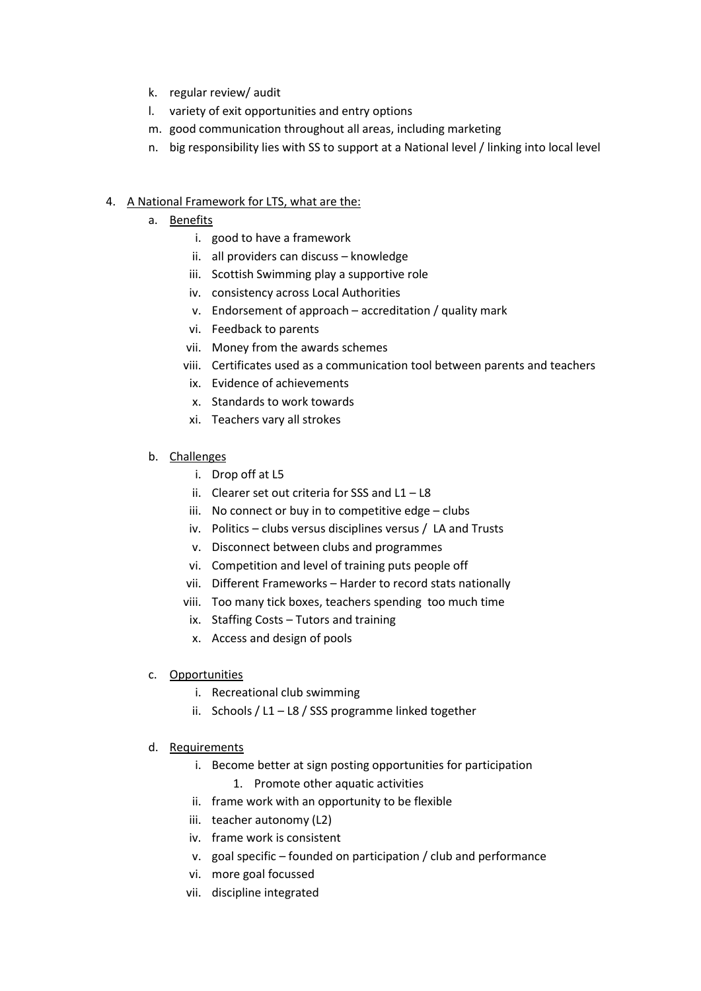- k. regular review/ audit
- l. variety of exit opportunities and entry options
- m. good communication throughout all areas, including marketing
- n. big responsibility lies with SS to support at a National level / linking into local level

## 4. A National Framework for LTS, what are the:

- a. Benefits
	- i. good to have a framework
	- ii. all providers can discuss knowledge
	- iii. Scottish Swimming play a supportive role
	- iv. consistency across Local Authorities
	- v. Endorsement of approach accreditation / quality mark
	- vi. Feedback to parents
	- vii. Money from the awards schemes
	- viii. Certificates used as a communication tool between parents and teachers
	- ix. Evidence of achievements
	- x. Standards to work towards
	- xi. Teachers vary all strokes

### b. Challenges

- i. Drop off at L5
- ii. Clearer set out criteria for SSS and L1 L8
- iii. No connect or buy in to competitive edge clubs
- iv. Politics clubs versus disciplines versus / LA and Trusts
- v. Disconnect between clubs and programmes
- vi. Competition and level of training puts people off
- vii. Different Frameworks Harder to record stats nationally
- viii. Too many tick boxes, teachers spending too much time
- ix. Staffing Costs Tutors and training
- x. Access and design of pools

### c. Opportunities

- i. Recreational club swimming
- ii. Schools / L1 L8 / SSS programme linked together

### d. Requirements

- i. Become better at sign posting opportunities for participation 1. Promote other aquatic activities
- ii. frame work with an opportunity to be flexible
- iii. teacher autonomy (L2)
- iv. frame work is consistent
- v. goal specific founded on participation / club and performance
- vi. more goal focussed
- vii. discipline integrated